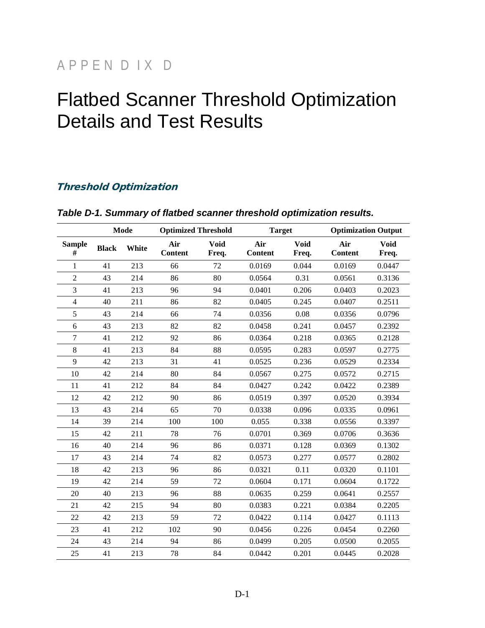# APPEN D IX D

# Flatbed Scanner Threshold Optimization Details and Test Results

#### Threshold Optimization

|                    | <b>Mode</b>  |       | <b>Optimized Threshold</b> |                      | <b>Target</b>         |                      | <b>Optimization Output</b> |                      |
|--------------------|--------------|-------|----------------------------|----------------------|-----------------------|----------------------|----------------------------|----------------------|
| <b>Sample</b><br># | <b>Black</b> | White | Air<br><b>Content</b>      | <b>Void</b><br>Freq. | Air<br><b>Content</b> | <b>Void</b><br>Freq. | Air<br><b>Content</b>      | <b>Void</b><br>Freq. |
| $\mathbf{1}$       | 41           | 213   | 66                         | 72                   | 0.0169                | 0.044                | 0.0169                     | 0.0447               |
| $\overline{c}$     | 43           | 214   | 86                         | 80                   | 0.0564                | 0.31                 | 0.0561                     | 0.3136               |
| 3                  | 41           | 213   | 96                         | 94                   | 0.0401                | 0.206                | 0.0403                     | 0.2023               |
| $\overline{4}$     | 40           | 211   | 86                         | 82                   | 0.0405                | 0.245                | 0.0407                     | 0.2511               |
| 5                  | 43           | 214   | 66                         | 74                   | 0.0356                | 0.08                 | 0.0356                     | 0.0796               |
| 6                  | 43           | 213   | 82                         | 82                   | 0.0458                | 0.241                | 0.0457                     | 0.2392               |
| $\tau$             | 41           | 212   | 92                         | 86                   | 0.0364                | 0.218                | 0.0365                     | 0.2128               |
| 8                  | 41           | 213   | 84                         | 88                   | 0.0595                | 0.283                | 0.0597                     | 0.2775               |
| 9                  | 42           | 213   | 31                         | 41                   | 0.0525                | 0.236                | 0.0529                     | 0.2334               |
| 10                 | 42           | 214   | 80                         | 84                   | 0.0567                | 0.275                | 0.0572                     | 0.2715               |
| 11                 | 41           | 212   | 84                         | 84                   | 0.0427                | 0.242                | 0.0422                     | 0.2389               |
| 12                 | 42           | 212   | 90                         | 86                   | 0.0519                | 0.397                | 0.0520                     | 0.3934               |
| 13                 | 43           | 214   | 65                         | 70                   | 0.0338                | 0.096                | 0.0335                     | 0.0961               |
| 14                 | 39           | 214   | 100                        | 100                  | 0.055                 | 0.338                | 0.0556                     | 0.3397               |
| 15                 | 42           | 211   | 78                         | 76                   | 0.0701                | 0.369                | 0.0706                     | 0.3636               |
| 16                 | 40           | 214   | 96                         | 86                   | 0.0371                | 0.128                | 0.0369                     | 0.1302               |
| 17                 | 43           | 214   | 74                         | 82                   | 0.0573                | 0.277                | 0.0577                     | 0.2802               |
| 18                 | 42           | 213   | 96                         | 86                   | 0.0321                | 0.11                 | 0.0320                     | 0.1101               |
| 19                 | 42           | 214   | 59                         | 72                   | 0.0604                | 0.171                | 0.0604                     | 0.1722               |
| 20                 | 40           | 213   | 96                         | 88                   | 0.0635                | 0.259                | 0.0641                     | 0.2557               |
| 21                 | 42           | 215   | 94                         | 80                   | 0.0383                | 0.221                | 0.0384                     | 0.2205               |
| 22                 | 42           | 213   | 59                         | 72                   | 0.0422                | 0.114                | 0.0427                     | 0.1113               |
| 23                 | 41           | 212   | 102                        | 90                   | 0.0456                | 0.226                | 0.0454                     | 0.2260               |
| 24                 | 43           | 214   | 94                         | 86                   | 0.0499                | 0.205                | 0.0500                     | 0.2055               |
| 25                 | 41           | 213   | 78                         | 84                   | 0.0442                | 0.201                | 0.0445                     | 0.2028               |

#### *Table D-1. Summary of flatbed scanner threshold optimization results.*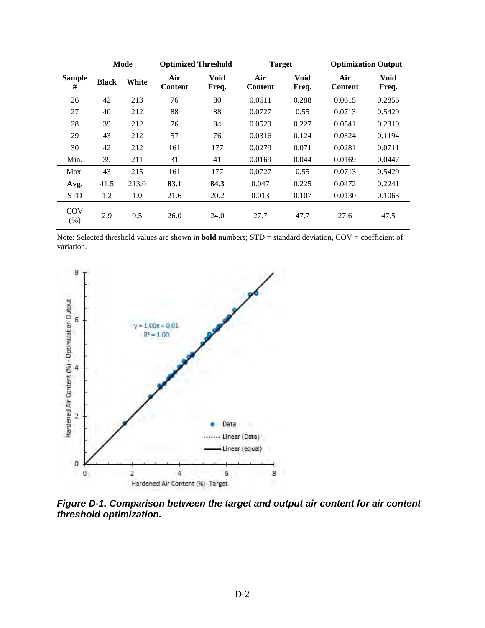|                    |              | Mode  | <b>Optimized Threshold</b> |               | <b>Target</b>         |               | <b>Optimization Output</b> |               |
|--------------------|--------------|-------|----------------------------|---------------|-----------------------|---------------|----------------------------|---------------|
| <b>Sample</b><br># | <b>Black</b> | White | Air<br><b>Content</b>      | Void<br>Freq. | Air<br><b>Content</b> | Void<br>Freq. | Air<br><b>Content</b>      | Void<br>Freq. |
| 26                 | 42           | 213   | 76                         | 80            | 0.0611                | 0.288         | 0.0615                     | 0.2856        |
| 27                 | 40           | 212   | 88                         | 88            | 0.0727                | 0.55          | 0.0713                     | 0.5429        |
| 28                 | 39           | 212   | 76                         | 84            | 0.0529                | 0.227         | 0.0541                     | 0.2319        |
| 29                 | 43           | 212   | 57                         | 76            | 0.0316                | 0.124         | 0.0324                     | 0.1194        |
| 30                 | 42           | 212   | 161                        | 177           | 0.0279                | 0.071         | 0.0281                     | 0.0711        |
| Min.               | 39           | 211   | 31                         | 41            | 0.0169                | 0.044         | 0.0169                     | 0.0447        |
| Max.               | 43           | 215   | 161                        | 177           | 0.0727                | 0.55          | 0.0713                     | 0.5429        |
| Avg.               | 41.5         | 213.0 | 83.1                       | 84.3          | 0.047                 | 0.225         | 0.0472                     | 0.2241        |
| <b>STD</b>         | 1.2          | 1.0   | 21.6                       | 20.2          | 0.013                 | 0.107         | 0.0130                     | 0.1063        |
| COV<br>(% )        | 2.9          | 0.5   | 26.0                       | 24.0          | 27.7                  | 47.7          | 27.6                       | 47.5          |

Note: Selected threshold values are shown in **bold** numbers; STD = standard deviation, COV = coefficient of variation.



*Figure D-1. Comparison between the target and output air content for air content threshold optimization.*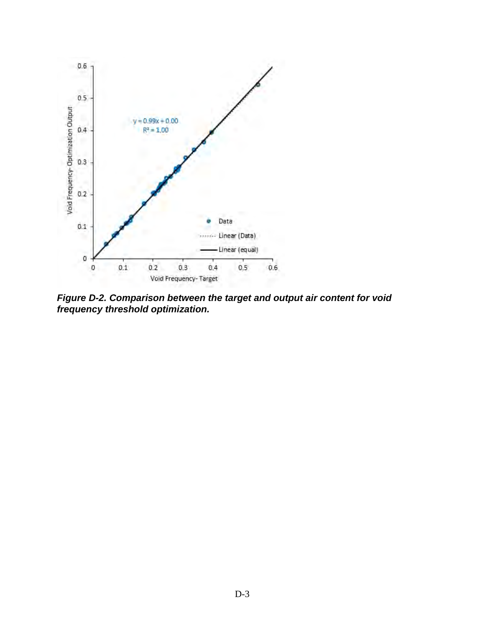

*Figure D-2. Comparison between the target and output air content for void frequency threshold optimization.*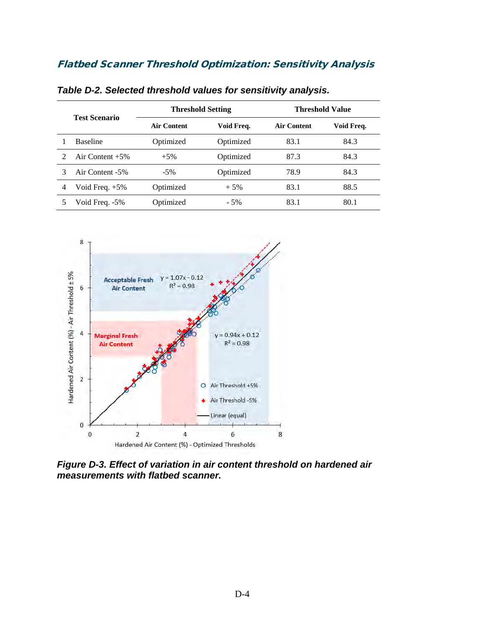#### Flatbed Scanner Threshold Optimization: Sensitivity Analysis

|   | <b>Test Scenario</b> |                    | <b>Threshold Setting</b> | Threshold Value    |            |  |
|---|----------------------|--------------------|--------------------------|--------------------|------------|--|
|   |                      | <b>Air Content</b> | Void Freq.               | <b>Air Content</b> | Void Freq. |  |
|   | <b>Baseline</b>      | Optimized          | Optimized                | 83.1               | 84.3       |  |
|   | Air Content $+5\%$   | $+5\%$             | Optimized                | 87.3               | 84.3       |  |
|   | Air Content -5%      | $-5\%$             | Optimized                | 78.9               | 84.3       |  |
| 4 | Void Freq. $+5\%$    | Optimized          | $+5%$                    | 83.1               | 88.5       |  |
|   | Void Freq. -5%       | Optimized          | $-5%$                    | 83.1               | 80.1       |  |

*Table D-2. Selected threshold values for sensitivity analysis.* 



*Figure D-3. Effect of variation in air content threshold on hardened air measurements with flatbed scanner.*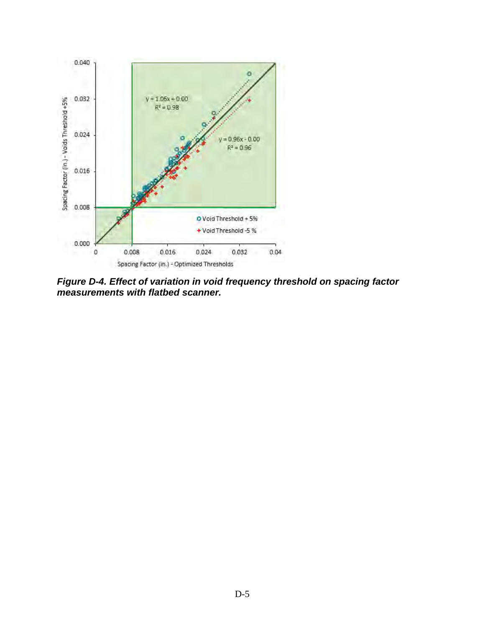

*Figure D-4. Effect of variation in void frequency threshold on spacing factor measurements with flatbed scanner.*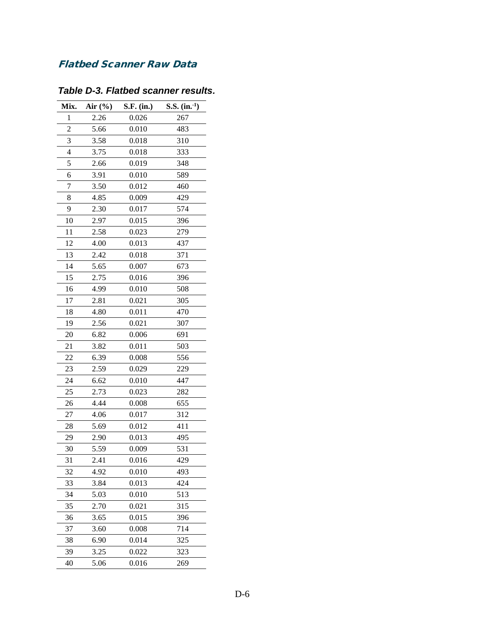## Flatbed Scanner Raw Data

| Mix.           | Air (%) | S.F. (in.) | S.S. $(in.)$ |
|----------------|---------|------------|--------------|
| $\mathbf{1}$   | 2.26    | 0.026      | 267          |
| $\overline{c}$ | 5.66    | 0.010      | 483          |
| 3              | 3.58    | 0.018      | 310          |
| 4              | 3.75    | 0.018      | 333          |
| 5              | 2.66    | 0.019      | 348          |
| 6              | 3.91    | 0.010      | 589          |
| 7              | 3.50    | 0.012      | 460          |
| 8              | 4.85    | 0.009      | 429          |
| 9              | 2.30    | 0.017      | 574          |
| 10             | 2.97    | 0.015      | 396          |
| 11             | 2.58    | 0.023      | 279          |
| 12             | 4.00    | 0.013      | 437          |
| 13             | 2.42    | 0.018      | 371          |
| 14             | 5.65    | 0.007      | 673          |
| 15             | 2.75    | 0.016      | 396          |
| 16             | 4.99    | 0.010      | 508          |
| 17             | 2.81    | 0.021      | 305          |
| 18             | 4.80    | 0.011      | 470          |
| 19             | 2.56    | 0.021      | 307          |
| 20             | 6.82    | 0.006      | 691          |
| 21             | 3.82    | 0.011      | 503          |
| 22             | 6.39    | 0.008      | 556          |
| 23             | 2.59    | 0.029      | 229          |
| 24             | 6.62    | 0.010      | 447          |
| 25             | 2.73    | 0.023      | 282          |
| 26             | 4.44    | 0.008      | 655          |
| 27             | 4.06    | 0.017      | 312          |
| 28             | 5.69    | 0.012      | 411          |
| 29             | 2.90    | 0.013      | 495          |
| 30             | 5.59    | 0.009      | 531          |
| 31             | 2.41    | 0.016      | 429          |
| 32             | 4.92    | 0.010      | 493          |
| 33             | 3.84    | 0.013      | 424          |
| 34             | 5.03    | 0.010      | 513          |
| 35             | 2.70    | 0.021      | 315          |
| 36             | 3.65    | 0.015      | 396          |
| 37             | 3.60    | 0.008      | 714          |
| 38             | 6.90    | 0.014      | 325          |
| 39             | 3.25    | 0.022      | 323          |
| 40             | 5.06    | 0.016      | 269          |
|                |         |            |              |

# *Table D-3. Flatbed scanner results.*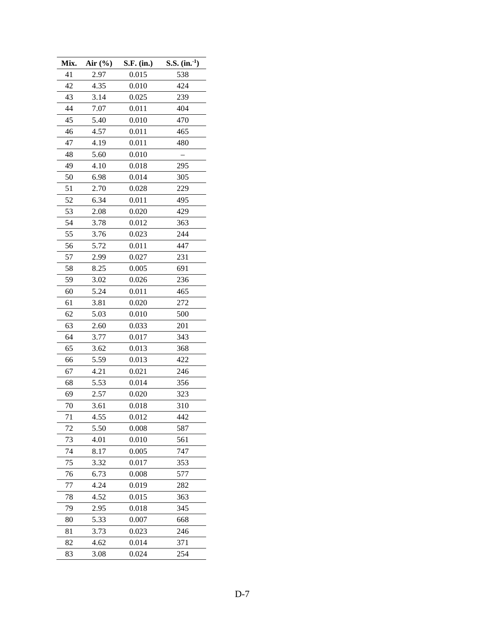| Mix. | Air $(\% )$ | S.F. (in.) | $S.S.$ (in. <sup>1</sup> ) |
|------|-------------|------------|----------------------------|
| 41   | 2.97        | 0.015      | 538                        |
| 42   | 4.35        | 0.010      | 424                        |
| 43   | 3.14        | 0.025      | 239                        |
| 44   | 7.07        | 0.011      | 404                        |
| 45   | 5.40        | 0.010      | 470                        |
| 46   | 4.57        | 0.011      | 465                        |
| 47   | 4.19        | 0.011      | 480                        |
| 48   | 5.60        | 0.010      |                            |
| 49   | 4.10        | 0.018      | 295                        |
| 50   | 6.98        | 0.014      | 305                        |
| 51   | 2.70        | 0.028      | 229                        |
| 52   | 6.34        | 0.011      | 495                        |
| 53   | 2.08        | 0.020      | 429                        |
| 54   | 3.78        | 0.012      | 363                        |
| 55   | 3.76        | 0.023      | 244                        |
| 56   | 5.72        | 0.011      | 447                        |
| 57   | 2.99        | 0.027      | 231                        |
| 58   | 8.25        | 0.005      | 691                        |
| 59   | 3.02        | 0.026      | 236                        |
| 60   | 5.24        | 0.011      | 465                        |
| 61   | 3.81        | 0.020      | 272                        |
| 62   | 5.03        | 0.010      | 500                        |
| 63   | 2.60        | 0.033      | 201                        |
| 64   | 3.77        | 0.017      | 343                        |
| 65   | 3.62        | 0.013      | 368                        |
| 66   | 5.59        | 0.013      | 422                        |
| 67   | 4.21        | 0.021      | 246                        |
| 68   | 5.53        | 0.014      | 356                        |
| 69   | 2.57        | 0.020      | 323                        |
| 70   | 3.61        | 0.018      | 310                        |
| 71   | 4.55        | 0.012      | 442                        |
| 72   | 5.50        | 0.008      | 587                        |
| 73   | 4.01        | 0.010      | 561                        |
| 74   | 8.17        | 0.005      | 747                        |
| 75   | 3.32        | 0.017      | 353                        |
| 76   | 6.73        | 0.008      | 577                        |
| 77   | 4.24        | 0.019      | 282                        |
| 78   | 4.52        | 0.015      | 363                        |
| 79   | 2.95        | 0.018      | 345                        |
| 80   | 5.33        | 0.007      | 668                        |
| 81   | 3.73        | 0.023      | 246                        |
|      |             | 0.014      |                            |
| 83   | 3.08        | 0.024      | 254                        |
| 82   | 4.62        |            | 371                        |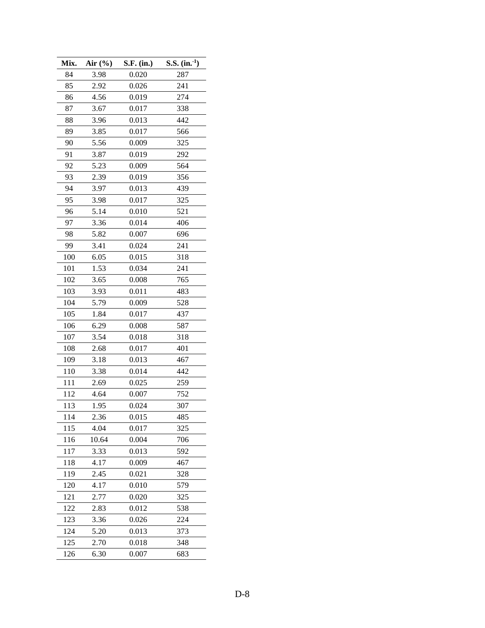| 84<br>3.98<br>0.020<br>287<br>85<br>2.92<br>0.026<br>241<br>4.56<br>274<br>86<br>0.019 |  |
|----------------------------------------------------------------------------------------|--|
|                                                                                        |  |
|                                                                                        |  |
|                                                                                        |  |
| 87<br>0.017<br>338<br>3.67                                                             |  |
| 88<br>3.96<br>0.013<br>442                                                             |  |
| 89<br>3.85<br>0.017<br>566                                                             |  |
| 90<br>0.009<br>5.56<br>325                                                             |  |
| 0.019<br>91<br>3.87<br>292                                                             |  |
| 92<br>5.23<br>0.009<br>564                                                             |  |
| 93<br>2.39<br>0.019<br>356                                                             |  |
| 94<br>439<br>3.97<br>0.013                                                             |  |
| 95<br>3.98<br>0.017<br>325                                                             |  |
| 0.010<br>96<br>5.14<br>521                                                             |  |
| 97<br>3.36<br>0.014<br>406                                                             |  |
| 98<br>5.82<br>0.007<br>696                                                             |  |
| 99<br>3.41<br>0.024<br>241                                                             |  |
| 100<br>6.05<br>0.015<br>318                                                            |  |
| 101<br>1.53<br>0.034<br>241                                                            |  |
| 765<br>102<br>3.65<br>0.008                                                            |  |
| 103<br>3.93<br>0.011<br>483                                                            |  |
| 104<br>5.79<br>528<br>0.009                                                            |  |
| 105<br>1.84<br>0.017<br>437                                                            |  |
| 106<br>0.008<br>6.29<br>587                                                            |  |
| 107<br>3.54<br>0.018<br>318                                                            |  |
| 108<br>2.68<br>0.017<br>401                                                            |  |
| 109<br>3.18<br>0.013<br>467                                                            |  |
| 110<br>3.38<br>0.014<br>442                                                            |  |
| 111<br>259<br>2.69<br>0.025                                                            |  |
| 112<br>4.64<br>0.007<br>752                                                            |  |
| 113<br>1.95<br>0.024<br>307                                                            |  |
| 2.36<br>114<br>0.015<br>485                                                            |  |
| 4.04<br>115<br>0.017<br>325                                                            |  |
| 116<br>10.64<br>0.004<br>706                                                           |  |
| 117<br>3.33<br>0.013<br>592                                                            |  |
| 0.009<br>118<br>4.17<br>467                                                            |  |
| 119<br>2.45<br>0.021<br>328                                                            |  |
| 120<br>4.17<br>0.010<br>579                                                            |  |
| 121<br>2.77<br>0.020<br>325                                                            |  |
| 122<br>0.012<br>538<br>2.83                                                            |  |
| 123<br>3.36<br>0.026<br>224                                                            |  |
| 124<br>5.20<br>0.013<br>373                                                            |  |
| 348<br>125<br>2.70<br>0.018                                                            |  |
| 126<br>6.30<br>0.007<br>683                                                            |  |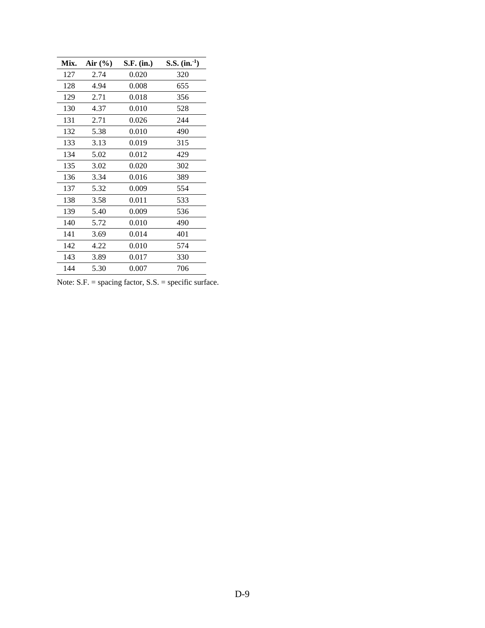| Mix. | Air $\left(\frac{6}{6}\right)$ | S.F. (in.) | S.S. $(in.)$ |
|------|--------------------------------|------------|--------------|
| 127  | 2.74                           | 0.020      | 320          |
| 128  | 4.94                           | 0.008      | 655          |
| 129  | 2.71                           | 0.018      | 356          |
| 130  | 4.37                           | 0.010      | 528          |
| 131  | 2.71                           | 0.026      | 244          |
| 132  | 5.38                           | 0.010      | 490          |
| 133  | 3.13                           | 0.019      | 315          |
| 134  | 5.02                           | 0.012      | 429          |
| 135  | 3.02                           | 0.020      | 302          |
| 136  | 3.34                           | 0.016      | 389          |
| 137  | 5.32                           | 0.009      | 554          |
| 138  | 3.58                           | 0.011      | 533          |
| 139  | 5.40                           | 0.009      | 536          |
| 140  | 5.72                           | 0.010      | 490          |
| 141  | 3.69                           | 0.014      | 401          |
| 142  | 4.22                           | 0.010      | 574          |
| 143  | 3.89                           | 0.017      | 330          |
| 144  | 5.30                           | 0.007      | 706          |

Note: S.F. = spacing factor, S.S. = specific surface.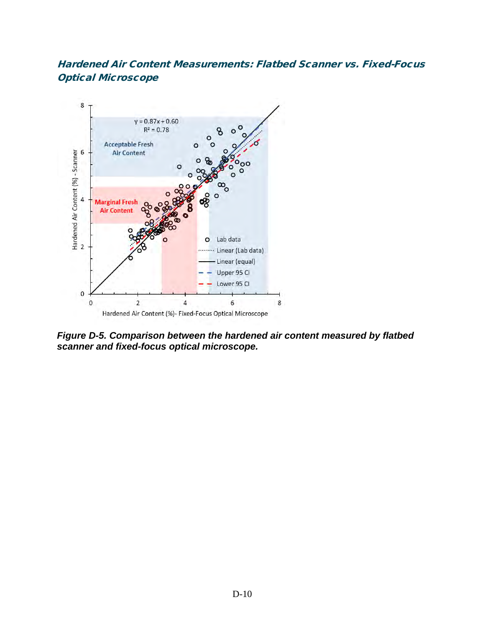#### Hardened Air Content Measurements: Flatbed Scanner vs. Fixed-Focus Optical Microscope



*Figure D-5. Comparison between the hardened air content measured by flatbed scanner and fixed-focus optical microscope.*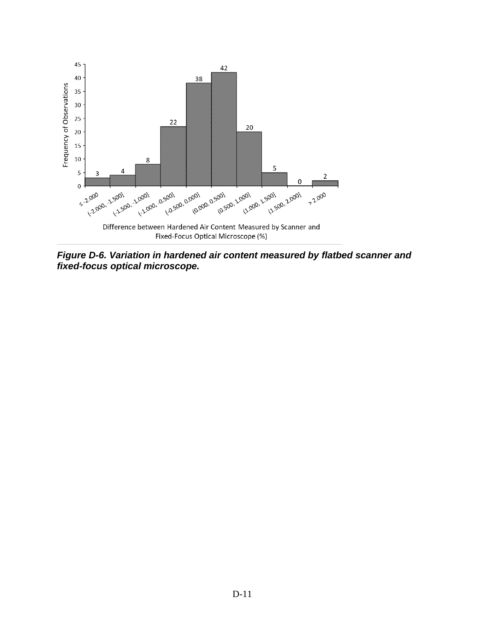

*Figure D-6. Variation in hardened air content measured by flatbed scanner and fixed-focus optical microscope.*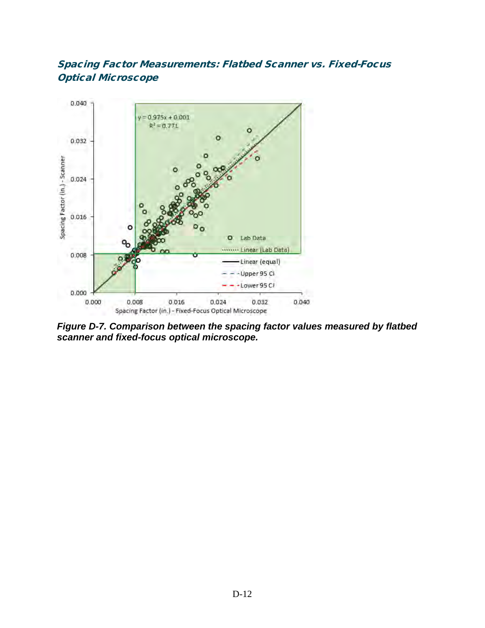## Spacing Factor Measurements: Flatbed Scanner vs. Fixed-Focus Optical Microscope



*Figure D-7. Comparison between the spacing factor values measured by flatbed scanner and fixed-focus optical microscope.*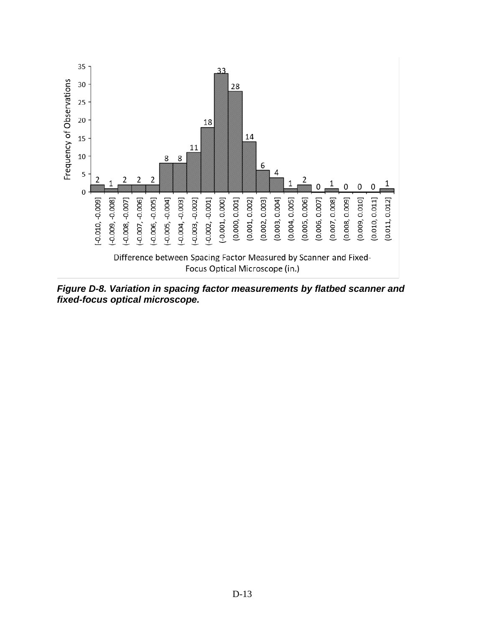

*Figure D-8. Variation in spacing factor measurements by flatbed scanner and fixed-focus optical microscope.*